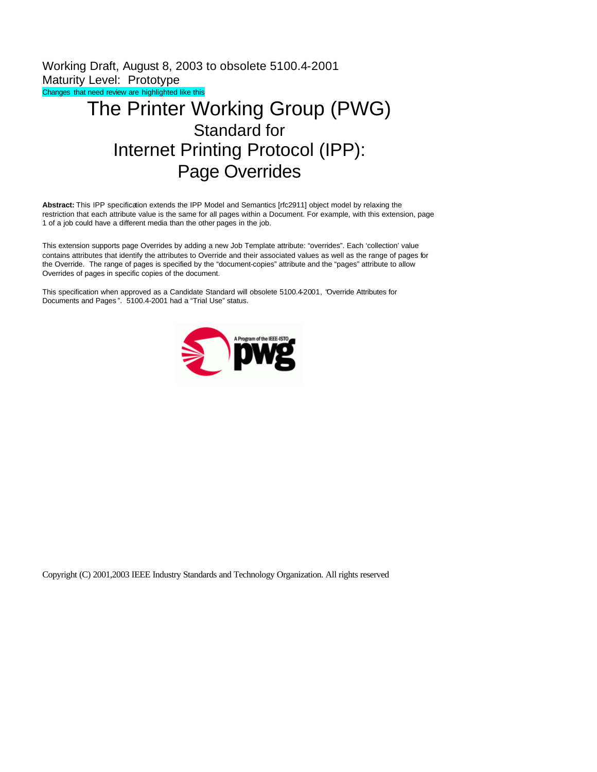Working Draft, August 8, 2003 to obsolete 5100.4-2001 Maturity Level: Prototype Changes that need review are highlighted like this The Printer Working Group (PWG)

# Standard for Internet Printing Protocol (IPP): Page Overrides

**Abstract:** This IPP specification extends the IPP Model and Semantics [rfc2911] object model by relaxing the restriction that each attribute value is the same for all pages within a Document. For example, with this extension, page 1 of a job could have a different media than the other pages in the job.

This extension supports page Overrides by adding a new Job Template attribute: "overrides". Each 'collection' value contains attributes that identify the attributes to Override and their associated values as well as the range of pages for the Override. The range of pages is specified by the "document-copies" attribute and the "pages" attribute to allow Overrides of pages in specific copies of the document.

This specification when approved as a Candidate Standard will obsolete 5100.4-2001, "Override Attributes for Documents and Pages ". 5100.4-2001 had a "Trial Use" status.



Copyright (C) 2001,2003 IEEE Industry Standards and Technology Organization. All rights reserved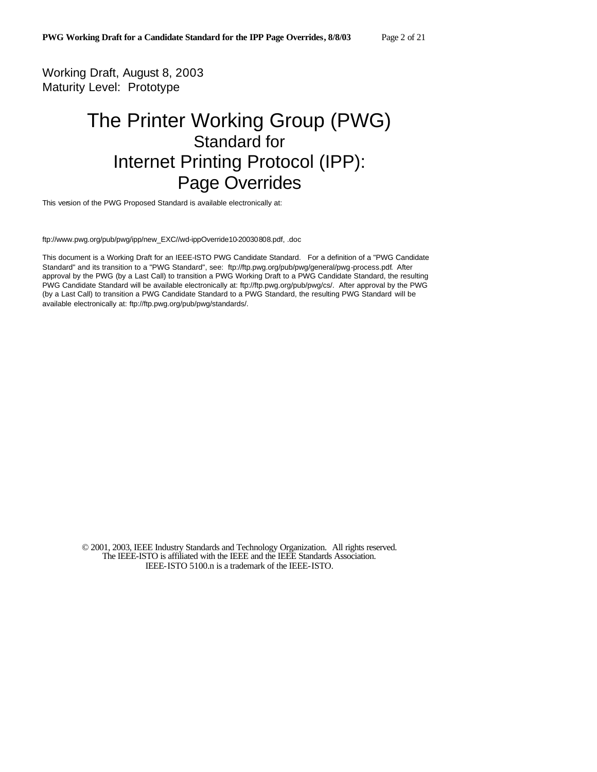Working Draft, August 8, 2003 Maturity Level: Prototype

# The Printer Working Group (PWG) Standard for Internet Printing Protocol (IPP): Page Overrides

This version of the PWG Proposed Standard is available electronically at:

ftp://www.pwg.org/pub/pwg/ipp/new\_EXC//wd-ippOverride10-20030808.pdf, .doc

This document is a Working Draft for an IEEE-ISTO PWG Candidate Standard. For a definition of a "PWG Candidate Standard" and its transition to a "PWG Standard", see: ftp://ftp.pwg.org/pub/pwg/general/pwg-process.pdf. After approval by the PWG (by a Last Call) to transition a PWG Working Draft to a PWG Candidate Standard, the resulting PWG Candidate Standard will be available electronically at: ftp://ftp.pwg.org/pub/pwg/cs/. After approval by the PWG (by a Last Call) to transition a PWG Candidate Standard to a PWG Standard, the resulting PWG Standard will be available electronically at: ftp://ftp.pwg.org/pub/pwg/standards/.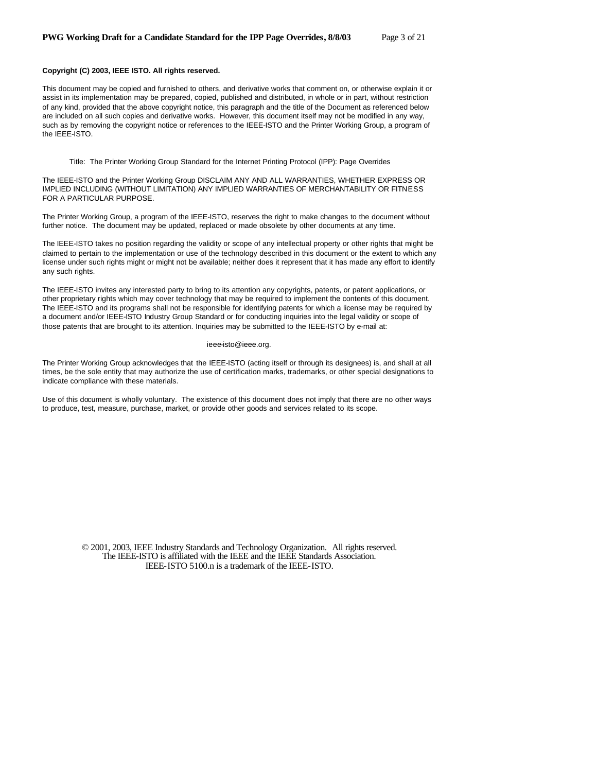# **Copyright (C) 2003, IEEE ISTO. All rights reserved.**

This document may be copied and furnished to others, and derivative works that comment on, or otherwise explain it or assist in its implementation may be prepared, copied, published and distributed, in whole or in part, without restriction of any kind, provided that the above copyright notice, this paragraph and the title of the Document as referenced below are included on all such copies and derivative works. However, this document itself may not be modified in any way, such as by removing the copyright notice or references to the IEEE-ISTO and the Printer Working Group, a program of the IEEE-ISTO.

Title: The Printer Working Group Standard for the Internet Printing Protocol (IPP): Page Overrides

The IEEE-ISTO and the Printer Working Group DISCLAIM ANY AND ALL WARRANTIES, WHETHER EXPRESS OR IMPLIED INCLUDING (WITHOUT LIMITATION) ANY IMPLIED WARRANTIES OF MERCHANTABILITY OR FITNESS FOR A PARTICULAR PURPOSE.

The Printer Working Group, a program of the IEEE-ISTO, reserves the right to make changes to the document without further notice. The document may be updated, replaced or made obsolete by other documents at any time.

The IEEE-ISTO takes no position regarding the validity or scope of any intellectual property or other rights that might be claimed to pertain to the implementation or use of the technology described in this document or the extent to which any license under such rights might or might not be available; neither does it represent that it has made any effort to identify any such rights.

The IEEE-ISTO invites any interested party to bring to its attention any copyrights, patents, or patent applications, or other proprietary rights which may cover technology that may be required to implement the contents of this document. The IEEE-ISTO and its programs shall not be responsible for identifying patents for which a license may be required by a document and/or IEEE-ISTO Industry Group Standard or for conducting inquiries into the legal validity or scope of those patents that are brought to its attention. Inquiries may be submitted to the IEEE-ISTO by e-mail at:

#### ieee-isto@ieee.org.

The Printer Working Group acknowledges that the IEEE-ISTO (acting itself or through its designees) is, and shall at all times, be the sole entity that may authorize the use of certification marks, trademarks, or other special designations to indicate compliance with these materials.

Use of this document is wholly voluntary. The existence of this document does not imply that there are no other ways to produce, test, measure, purchase, market, or provide other goods and services related to its scope.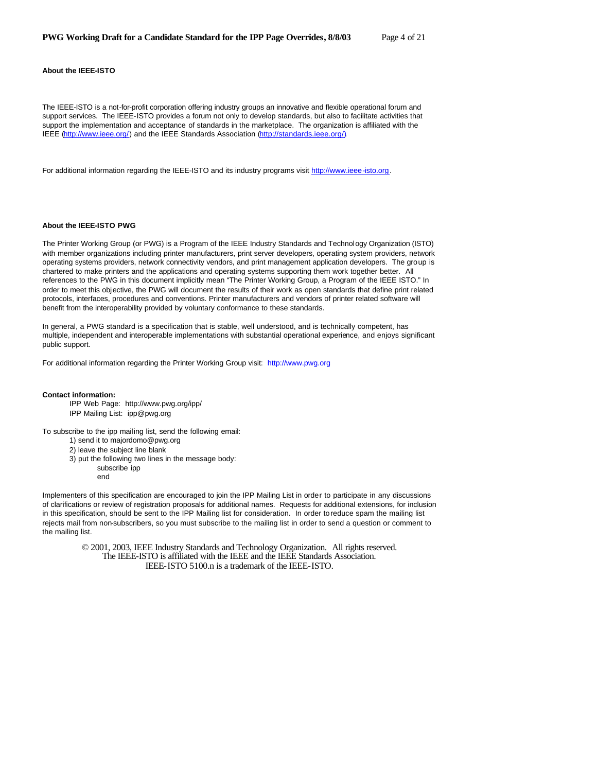# **About the IEEE-ISTO**

The IEEE-ISTO is a not-for-profit corporation offering industry groups an innovative and flexible operational forum and support services. The IEEE-ISTO provides a forum not only to develop standards, but also to facilitate activities that support the implementation and acceptance of standards in the marketplace. The organization is affiliated with the IEEE (http://www.ieee.org/) and the IEEE Standards Association (http://standards.ieee.org/).

For additional information regarding the IEEE-ISTO and its industry programs visit http://www.ieee-isto.org.

#### **About the IEEE-ISTO PWG**

The Printer Working Group (or PWG) is a Program of the IEEE Industry Standards and Technology Organization (ISTO) with member organizations including printer manufacturers, print server developers, operating system providers, network operating systems providers, network connectivity vendors, and print management application developers. The group is chartered to make printers and the applications and operating systems supporting them work together better. All references to the PWG in this document implicitly mean "The Printer Working Group, a Program of the IEEE ISTO." In order to meet this objective, the PWG will document the results of their work as open standards that define print related protocols, interfaces, procedures and conventions. Printer manufacturers and vendors of printer related software will benefit from the interoperability provided by voluntary conformance to these standards.

In general, a PWG standard is a specification that is stable, well understood, and is technically competent, has multiple, independent and interoperable implementations with substantial operational experience, and enjoys significant public support.

For additional information regarding the Printer Working Group visit: http://www.pwg.org

#### **Contact information:**

IPP Web Page: http://www.pwg.org/ipp/ IPP Mailing List: ipp@pwg.org

To subscribe to the ipp mailing list, send the following email: 1) send it to majordomo@pwg.org

2) leave the subject line blank

3) put the following two lines in the message body:

subscribe ipp end

Implementers of this specification are encouraged to join the IPP Mailing List in order to participate in any discussions of clarifications or review of registration proposals for additional names. Requests for additional extensions, for inclusion in this specification, should be sent to the IPP Mailing list for consideration. In order to reduce spam the mailing list rejects mail from non-subscribers, so you must subscribe to the mailing list in order to send a question or comment to the mailing list.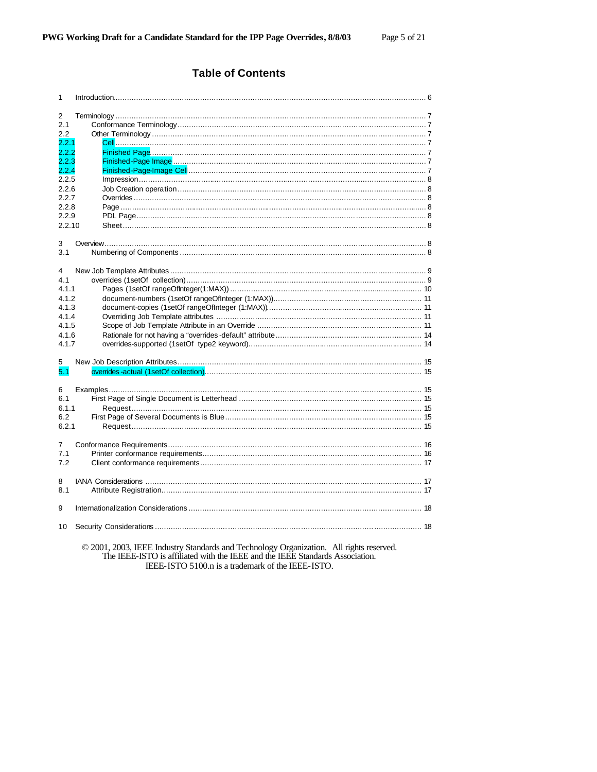# **Table of Contents**

| 1      |                                                                                         |  |
|--------|-----------------------------------------------------------------------------------------|--|
| 2      |                                                                                         |  |
| 2.1    |                                                                                         |  |
| 2.2    |                                                                                         |  |
| 2.2.1  |                                                                                         |  |
| 2.2.2  |                                                                                         |  |
| 2.2.3  |                                                                                         |  |
| 2.2.4  |                                                                                         |  |
| 2.2.5  |                                                                                         |  |
| 2.2.6  |                                                                                         |  |
| 2.2.7  |                                                                                         |  |
| 2.2.8  |                                                                                         |  |
| 2.2.9  |                                                                                         |  |
|        |                                                                                         |  |
| 2.2.10 |                                                                                         |  |
|        |                                                                                         |  |
| 3      |                                                                                         |  |
| 3.1    |                                                                                         |  |
|        |                                                                                         |  |
| 4      |                                                                                         |  |
| 4.1    |                                                                                         |  |
| 4.1.1  |                                                                                         |  |
| 4.1.2  |                                                                                         |  |
| 4.1.3  |                                                                                         |  |
| 4.1.4  |                                                                                         |  |
| 4.1.5  |                                                                                         |  |
| 4.1.6  |                                                                                         |  |
| 4.1.7  |                                                                                         |  |
|        |                                                                                         |  |
| 5      |                                                                                         |  |
| 5.1    |                                                                                         |  |
|        |                                                                                         |  |
| 6      |                                                                                         |  |
| 6.1    |                                                                                         |  |
| 6.1.1  |                                                                                         |  |
| 6.2    |                                                                                         |  |
| 6.2.1  |                                                                                         |  |
|        |                                                                                         |  |
| 7      |                                                                                         |  |
| 7.1    |                                                                                         |  |
| 7.2    |                                                                                         |  |
|        |                                                                                         |  |
| 8      |                                                                                         |  |
| 8.1    |                                                                                         |  |
|        |                                                                                         |  |
| 9      |                                                                                         |  |
|        |                                                                                         |  |
| 10     |                                                                                         |  |
|        |                                                                                         |  |
|        | © 2001, 2003, IEEE Industry Standards and Technology Organization. All rights reserved. |  |

The IEEE-ISTO is affiliated with the IEEE and the IEEE Standards Association.<br>IEEE-ISTO is affiliated with the IEEE and the IEEE Standards Association.<br>IEEE-ISTO 5100.n is a trademark of the IEEE-ISTO.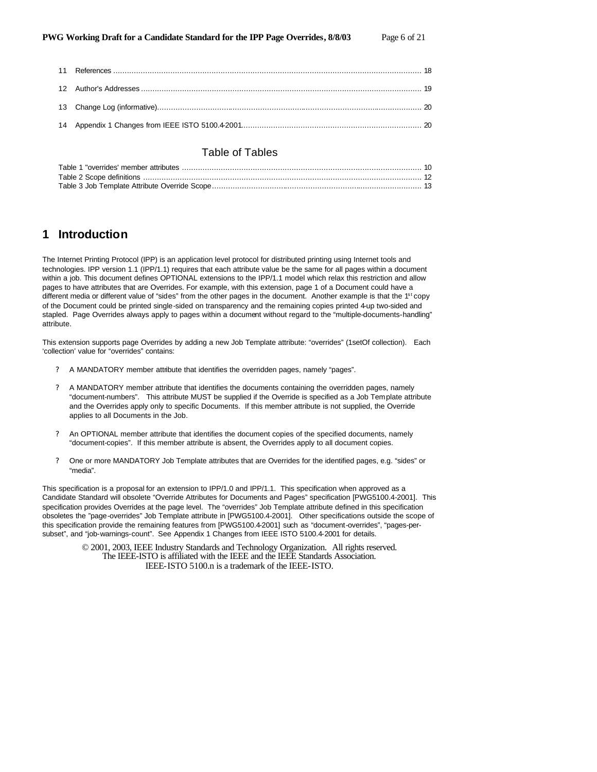# Table of Tables

# **1 Introduction**

The Internet Printing Protocol (IPP) is an application level protocol for distributed printing using Internet tools and technologies. IPP version 1.1 (IPP/1.1) requires that each attribute value be the same for all pages within a document within a job. This document defines OPTIONAL extensions to the IPP/1.1 model which relax this restriction and allow pages to have attributes that are Overrides. For example, with this extension, page 1 of a Document could have a different media or different value of "sides" from the other pages in the document. Another example is that the 1<sup>st</sup> copy of the Document could be printed single-sided on transparency and the remaining copies printed 4-up two-sided and stapled. Page Overrides always apply to pages within a document without regard to the "multiple-documents-handling" attribute.

This extension supports page Overrides by adding a new Job Template attribute: "overrides" (1setOf collection). Each 'collection' value for "overrides" contains:

- ? A MANDATORY member attribute that identifies the overridden pages, namely "pages".
- ? A MANDATORY member attribute that identifies the documents containing the overridden pages, namely "document-numbers". This attribute MUST be supplied if the Override is specified as a Job Template attribute and the Overrides apply only to specific Documents. If this member attribute is not supplied, the Override applies to all Documents in the Job.
- ? An OPTIONAL member attribute that identifies the document copies of the specified documents, namely "document-copies". If this member attribute is absent, the Overrides apply to all document copies.
- ? One or more MANDATORY Job Template attributes that are Overrides for the identified pages, e.g. "sides" or "media".

This specification is a proposal for an extension to IPP/1.0 and IPP/1.1. This specification when approved as a Candidate Standard will obsolete "Override Attributes for Documents and Pages" specification [PWG5100.4-2001]. This specification provides Overrides at the page level. The "overrides" Job Template attribute defined in this specification obsoletes the "page-overrides" Job Template attribute in [PWG5100.4-2001]. Other specifications outside the scope of this specification provide the remaining features from [PWG5100.4-2001] such as "document-overrides", "pages-persubset", and "job-warnings-count". See Appendix 1 Changes from IEEE ISTO 5100.4-2001 for details.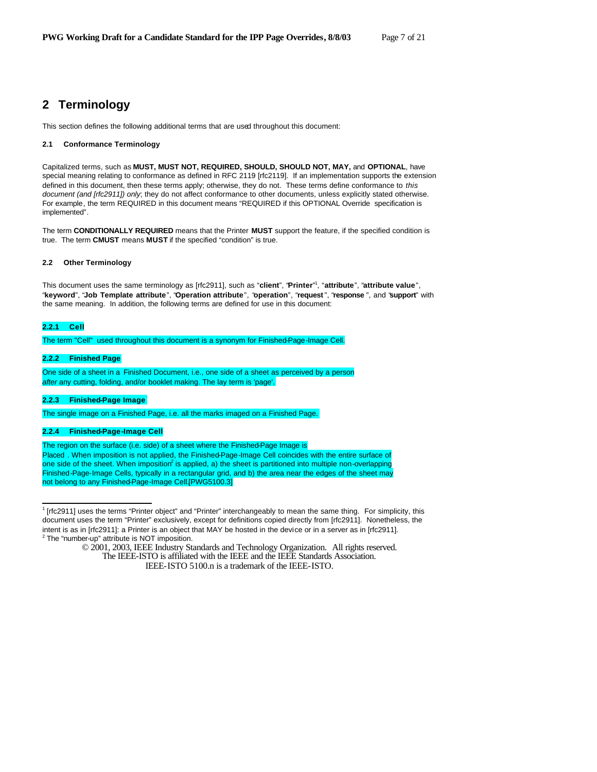# **2 Terminology**

This section defines the following additional terms that are used throughout this document:

### **2.1 Conformance Terminology**

Capitalized terms, such as **MUST, MUST NOT, REQUIRED, SHOULD, SHOULD NOT, MAY,** and **OPTIONAL**, have special meaning relating to conformance as defined in RFC 2119 [rfc2119]. If an implementation supports the extension defined in this document, then these terms apply; otherwise, they do not. These terms define conformance to *this document (and [rfc2911]) only*; they do not affect conformance to other documents, unless explicitly stated otherwise. For example, the term REQUIRED in this document means "REQUIRED if this OPTIONAL Override specification is implemented"*.*

The term **CONDITIONALLY REQUIRED** means that the Printer **MUST** support the feature, if the specified condition is true. The term **CMUST** means **MUST** if the specified "condition" is true.

### **2.2 Other Terminology**

This document uses the same terminology as [rfc2911], such as "**client**", "**Printer**" 1 , "**attribute**", "**attribute value**", "**keyword**", "**Job Template attribute**", "**Operation attribute**", "**operation**", "**request** ", "**response** ", and "**support**" with the same meaning. In addition, the following terms are defined for use in this document:

## **2.2.1 Cell**

 $\overline{a}$ 

The term "Cell" used throughout this document is a synonym for Finished-Page-Image Cell.

# **2.2.2 Finished Page**

One side of a sheet in a Finished Document, i.e., one side of a sheet as perceived by a person *after* any cutting, folding, and/or booklet making. The lay term is 'page'.

### **2.2.3 Finished-Page Image**

The single image on a Finished Page, i.e. all the marks imaged on a Finished Page.

### **2.2.4 Finished-Page-Image Cell**

#### The region on the surface (i.e. side) of a sheet where the Finished-Page Image is

Placed . When imposition is not applied, the Finished-Page-Image Cell coincides with the entire surface of one side of the sheet. When imposition<sup>2</sup> is applied, a) the sheet is partitioned into multiple non-overlapping Finished-Page-Image Cells, typically in a rectangular grid, and b) the area near the edges of the sheet may not belong to any Finished-Page-Image Cell.[PWG5100.3]

<sup>1</sup> [rfc2911] uses the terms "Printer object" and "Printer" interchangeably to mean the same thing. For simplicity, this document uses the term "Printer" exclusively, except for definitions copied directly from [rfc2911]. Nonetheless, the intent is as in [rfc2911]: a Printer is an object that MAY be hosted in the device or in a server as in [rfc2911]. <sup>2</sup> The "number-up" attribute is NOT imposition.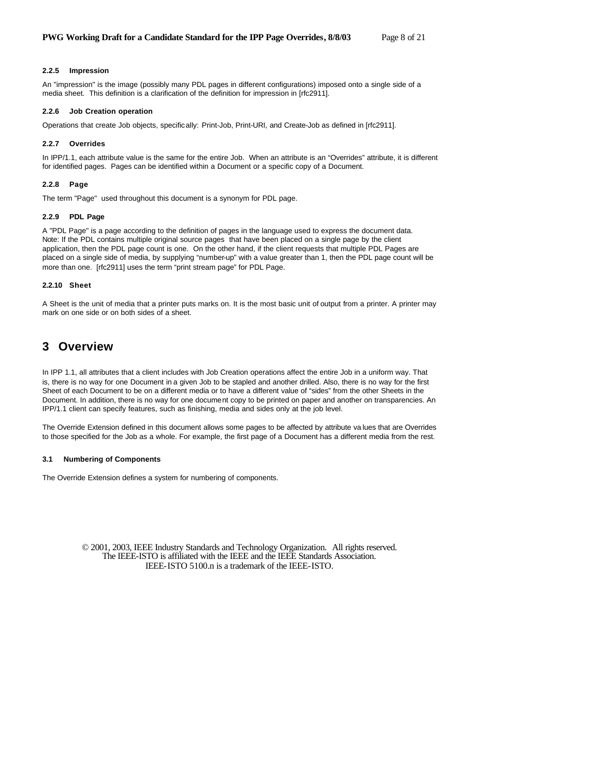#### **2.2.5 Impression**

An "impression" is the image (possibly many PDL pages in different configurations) imposed onto a single side of a media sheet. This definition is a clarification of the definition for impression in [rfc2911].

### **2.2.6 Job Creation operation**

Operations that create Job objects, specifically: Print-Job, Print-URI, and Create-Job as defined in [rfc2911].

### **2.2.7 Overrides**

In IPP/1.1, each attribute value is the same for the entire Job. When an attribute is an "Overrides" attribute, it is different for identified pages. Pages can be identified within a Document or a specific copy of a Document.

#### **2.2.8 Page**

The term "Page" used throughout this document is a synonym for PDL page.

#### **2.2.9 PDL Page**

A "PDL Page" is a page according to the definition of pages in the language used to express the document data. Note: If the PDL contains multiple original source pages that have been placed on a single page by the client application, then the PDL page count is one. On the other hand, if the client requests that multiple PDL Pages are placed on a single side of media, by supplying "number-up" with a value greater than 1, then the PDL page count will be more than one. [rfc2911] uses the term "print stream page" for PDL Page.

### **2.2.10 Sheet**

A Sheet is the unit of media that a printer puts marks on. It is the most basic unit of output from a printer. A printer may mark on one side or on both sides of a sheet.

# **3 Overview**

In IPP 1.1, all attributes that a client includes with Job Creation operations affect the entire Job in a uniform way. That is, there is no way for one Document in a given Job to be stapled and another drilled. Also, there is no way for the first Sheet of each Document to be on a different media or to have a different value of "sides" from the other Sheets in the Document. In addition, there is no way for one document copy to be printed on paper and another on transparencies. An IPP/1.1 client can specify features, such as finishing, media and sides only at the job level.

The Override Extension defined in this document allows some pages to be affected by attribute va lues that are Overrides to those specified for the Job as a whole. For example, the first page of a Document has a different media from the rest.

### **3.1 Numbering of Components**

The Override Extension defines a system for numbering of components.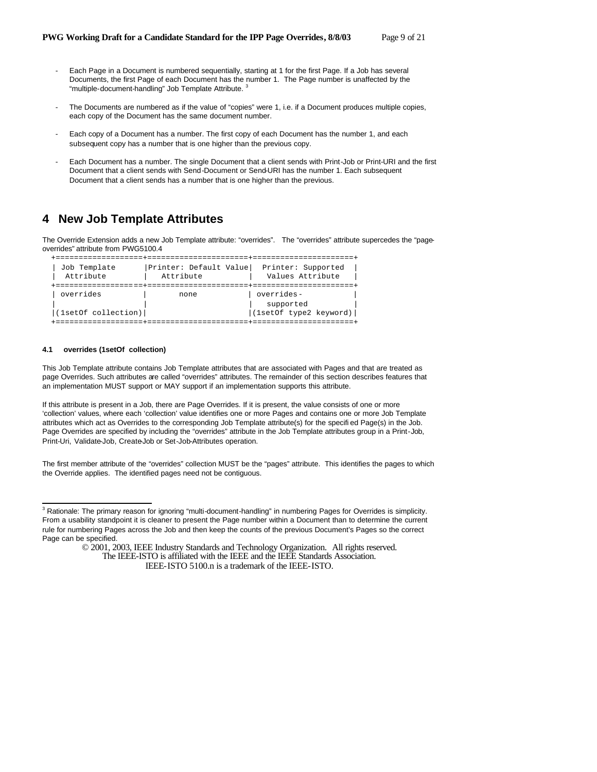- Each Page in a Document is numbered sequentially, starting at 1 for the first Page. If a Job has several Documents, the first Page of each Document has the number 1. The Page number is unaffected by the "multiple-document-handling" Job Template Attribute.<sup>3</sup>
- The Documents are numbered as if the value of "copies" were 1, i.e. if a Document produces multiple copies, each copy of the Document has the same document number.
- Each copy of a Document has a number. The first copy of each Document has the number 1, and each subsequent copy has a number that is one higher than the previous copy.
- Each Document has a number. The single Document that a client sends with Print-Job or Print-URI and the first Document that a client sends with Send-Document or Send-URI has the number 1. Each subsequent Document that a client sends has a number that is one higher than the previous.

# **4 New Job Template Attributes**

The Override Extension adds a new Job Template attribute: "overrides". The "overrides" attribute supercedes the "pageoverrides" attribute from PWG5100.4

```
 +===================+======================+======================+
                      | Printer: Default Value| Printer: Supported
 |<br>| Attribute | Attribute | Attribute | Values Attribute<br>| Attribute | Values Attribute<br>| Attribute | Calues Attribute
 +===================+======================+======================+
| overrides | none | overrides-
                                                     supported
\begin{array}{|c|c|c|c|c|c|}\hline &\text{(1set0f type2 keyword)} \\\hline \end{array} +===================+======================+======================+
```
### **4.1 overrides (1setOf collection)**

 $\overline{a}$ 

This Job Template attribute contains Job Template attributes that are associated with Pages and that are treated as page Overrides. Such attributes are called "overrides" attributes. The remainder of this section describes features that an implementation MUST support or MAY support if an implementation supports this attribute.

If this attribute is present in a Job, there are Page Overrides. If it is present, the value consists of one or more 'collection' values, where each 'collection' value identifies one or more Pages and contains one or more Job Template attributes which act as Overrides to the corresponding Job Template attribute(s) for the specifi ed Page(s) in the Job. Page Overrides are specified by including the "overrides" attribute in the Job Template attributes group in a Print-Job, Print-Uri, Validate-Job, Create-Job or Set-Job-Attributes operation.

The first member attribute of the "overrides" collection MUST be the "pages" attribute. This identifies the pages to which the Override applies. The identified pages need not be contiguous.

<sup>&</sup>lt;sup>3</sup> Rationale: The primary reason for ignoring "multi-document-handling" in numbering Pages for Overrides is simplicity. From a usability standpoint it is cleaner to present the Page number within a Document than to determine the current rule for numbering Pages across the Job and then keep the counts of the previous Document's Pages so the correct Page can be specified.

<sup>© 2001, 2003,</sup> IEEE Industry Standards and Technology Organization. All rights reserved. The IEEE-ISTO is affiliated with the IEEE and the IEEE Standards Association.

IEEE-ISTO 5100.n is a trademark of the IEEE-ISTO.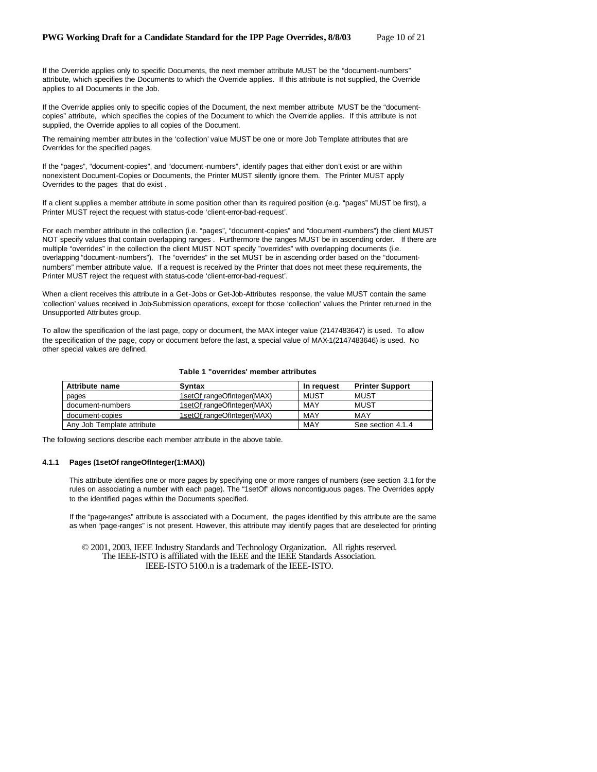If the Override applies only to specific Documents, the next member attribute MUST be the "document-numbers" attribute, which specifies the Documents to which the Override applies. If this attribute is not supplied, the Override applies to all Documents in the Job.

If the Override applies only to specific copies of the Document, the next member attribute MUST be the "documentcopies" attribute, which specifies the copies of the Document to which the Override applies. If this attribute is not supplied, the Override applies to all copies of the Document.

The remaining member attributes in the 'collection' value MUST be one or more Job Template attributes that are Overrides for the specified pages.

If the "pages", "document-copies", and "document -numbers", identify pages that either don't exist or are within nonexistent Document-Copies or Documents, the Printer MUST silently ignore them. The Printer MUST apply Overrides to the pages that do exist .

If a client supplies a member attribute in some position other than its required position (e.g. "pages" MUST be first), a Printer MUST reject the request with status-code 'client-error-bad-request'.

For each member attribute in the collection (i.e. "pages", "document-copies" and "document -numbers") the client MUST NOT specify values that contain overlapping ranges . Furthermore the ranges MUST be in ascending order. If there are multiple "overrides" in the collection the client MUST NOT specify "overrides" with overlapping documents (i.e. overlapping "document-numbers"). The "overrides" in the set MUST be in ascending order based on the "documentnumbers" member attribute value. If a request is received by the Printer that does not meet these requirements, the Printer MUST reject the request with status-code 'client-error-bad-request'.

When a client receives this attribute in a Get-Jobs or Get-Job-Attributes response, the value MUST contain the same 'collection' values received in Job-Submission operations, except for those 'collection' values the Printer returned in the Unsupported Attributes group.

To allow the specification of the last page, copy or document, the MAX integer value (2147483647) is used. To allow the specification of the page, copy or document before the last, a special value of MAX-1(2147483646) is used. No other special values are defined.

# **Table 1 "overrides' member attributes**

| Attribute name             | <b>Syntax</b>              | In request  | <b>Printer Support</b> |
|----------------------------|----------------------------|-------------|------------------------|
| pages                      | 1setOf rangeOfInteger(MAX) | <b>MUST</b> | MUST                   |
| document-numbers           | 1setOf rangeOfInteger(MAX) | MAY         | MUST                   |
| document-copies            | 1setOf_rangeOfInteger(MAX) | MAY         | MAY                    |
| Any Job Template attribute |                            | MAY         | See section 4.1.4      |

The following sections describe each member attribute in the above table.

#### **4.1.1 Pages (1setOf rangeOfInteger(1:MAX))**

This attribute identifies one or more pages by specifying one or more ranges of numbers (see section 3.1 for the rules on associating a number with each page). The "1setOf" allows noncontiguous pages. The Overrides apply to the identified pages within the Documents specified.

If the "page-ranges" attribute is associated with a Document, the pages identified by this attribute are the same as when "page-ranges" is not present. However, this attribute may identify pages that are deselected for printing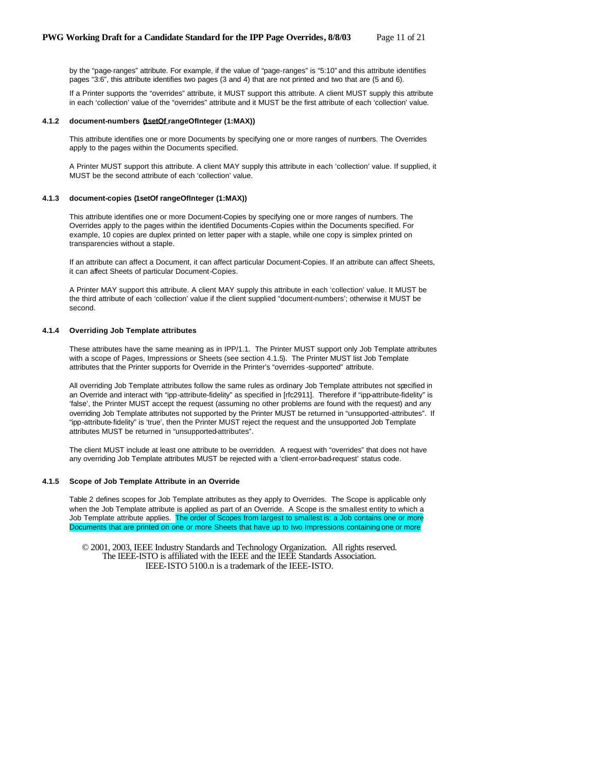by the "page-ranges" attribute. For example, if the value of "page-ranges" is "5:10" and this attribute identifies pages "3:6", this attribute identifies two pages (3 and 4) that are not printed and two that are (5 and 6).

If a Printer supports the "overrides" attribute, it MUST support this attribute. A client MUST supply this attribute in each 'collection' value of the "overrides" attribute and it MUST be the first attribute of each 'collection' value.

### **4.1.2 document-numbers (1setOf rangeOfInteger (1:MAX))**

This attribute identifies one or more Documents by specifying one or more ranges of numbers. The Overrides apply to the pages within the Documents specified.

A Printer MUST support this attribute. A client MAY supply this attribute in each 'collection' value. If supplied, it MUST be the second attribute of each 'collection' value.

### **4.1.3 document-copies (1setOf rangeOfInteger (1:MAX))**

This attribute identifies one or more Document-Copies by specifying one or more ranges of numbers. The Overrides apply to the pages within the identified Documents-Copies within the Documents specified. For example, 10 copies are duplex printed on letter paper with a staple, while one copy is simplex printed on transparencies without a staple.

If an attribute can affect a Document, it can affect particular Document-Copies. If an attribute can affect Sheets, it can affect Sheets of particular Document-Copies.

A Printer MAY support this attribute. A client MAY supply this attribute in each 'collection' value. It MUST be the third attribute of each 'collection' value if the client supplied "document-numbers'; otherwise it MUST be second.

### **4.1.4 Overriding Job Template attributes**

These attributes have the same meaning as in IPP/1.1. The Printer MUST support only Job Template attributes with a scope of Pages, Impressions or Sheets (see section 4.1.5). The Printer MUST list Job Template attributes that the Printer supports for Override in the Printer's "overrides -supported" attribute.

All overriding Job Template attributes follow the same rules as ordinary Job Template attributes not specified in an Override and interact with "ipp-attribute-fidelity" as specified in [rfc2911]. Therefore if "ipp-attribute-fidelity" is 'false', the Printer MUST accept the request (assuming no other problems are found with the request) and any overriding Job Template attributes not supported by the Printer MUST be returned in "unsupported-attributes". If "ipp-attribute-fidelity" is 'true', then the Printer MUST reject the request and the unsupported Job Template attributes MUST be returned in "unsupported-attributes".

The client MUST include at least one attribute to be overridden. A request with "overrides" that does not have any overriding Job Template attributes MUST be rejected with a 'client-error-bad-request' status code.

### **4.1.5 Scope of Job Template Attribute in an Override**

Table 2 defines scopes for Job Template attributes as they apply to Overrides. The Scope is applicable only when the Job Template attribute is applied as part of an Override. A Scope is the smallest entity to which a Job Template attribute applies. The order of Scopes from largest to smallest is: a Job contains one or more Documents that are printed on one or more Sheets that have up to two Impressions containing one or more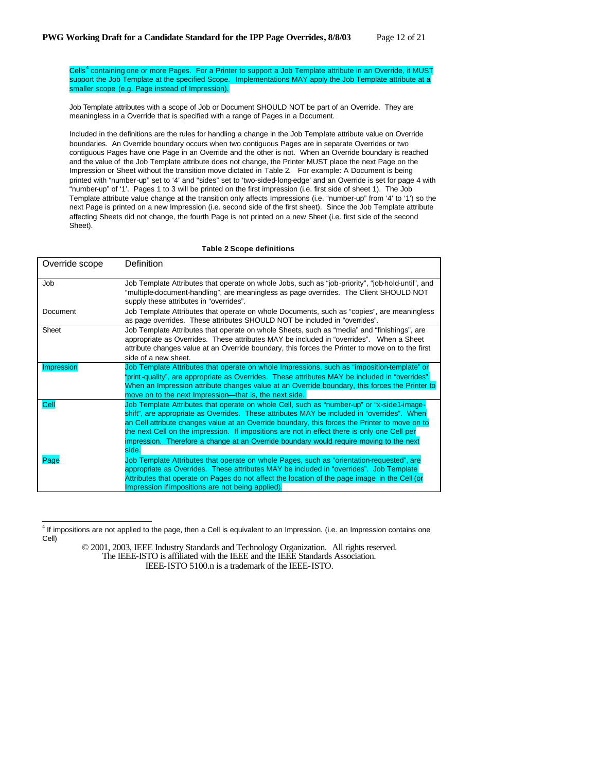Cells<sup>4</sup> containing one or more Pages. For a Printer to support a Job Template attribute in an Override, it MUST support the Job Template at the specified Scope. Implementations MAY apply the Job Template attribute at a smaller scope (e.g. Page instead of Impression).

Job Template attributes with a scope of Job or Document SHOULD NOT be part of an Override. They are meaningless in a Override that is specified with a range of Pages in a Document.

Included in the definitions are the rules for handling a change in the Job Template attribute value on Override boundaries. An Override boundary occurs when two contiguous Pages are in separate Overrides or two contiguous Pages have one Page in an Override and the other is not. When an Override boundary is reached and the value of the Job Template attribute does not change, the Printer MUST place the next Page on the Impression or Sheet without the transition move dictated in Table 2. For example: A Document is being printed with "number-up" set to '4' and "sides" set to 'two-sided-long-edge' and an Override is set for page 4 with "number-up" of '1'. Pages 1 to 3 will be printed on the first impression (i.e. first side of sheet 1). The Job Template attribute value change at the transition only affects Impressions (i.e. "number-up" from '4' to '1') so the next Page is printed on a new Impression (i.e. second side of the first sheet). Since the Job Template attribute affecting Sheets did not change, the fourth Page is not printed on a new Sheet (i.e. first side of the second Sheet).

#### **Table 2 Scope definitions**

| Override scope    | Definition                                                                                                                                                                                                                                                                                                                                                                                                                                                                                      |
|-------------------|-------------------------------------------------------------------------------------------------------------------------------------------------------------------------------------------------------------------------------------------------------------------------------------------------------------------------------------------------------------------------------------------------------------------------------------------------------------------------------------------------|
| Job               | Job Template Attributes that operate on whole Jobs, such as "job-priority", "job-hold-until", and<br>"multiple-document-handling", are meaningless as page overrides. The Client SHOULD NOT<br>supply these attributes in "overrides".                                                                                                                                                                                                                                                          |
| Document          | Job Template Attributes that operate on whole Documents, such as "copies", are meaningless<br>as page overrides. These attributes SHOULD NOT be included in "overrides".                                                                                                                                                                                                                                                                                                                        |
| Sheet             | Job Template Attributes that operate on whole Sheets, such as "media" and "finishings", are<br>appropriate as Overrides. These attributes MAY be included in "overrides". When a Sheet<br>attribute changes value at an Override boundary, this forces the Printer to move on to the first<br>side of a new sheet.                                                                                                                                                                              |
| <b>Impression</b> | Job Template Attributes that operate on whole Impressions, such as "imposition-template" or<br>"print-quality", are appropriate as Overrides. These attributes MAY be included in "overrides".<br>When an Impression attribute changes value at an Override boundary, this forces the Printer to<br>move on to the next Impression—that is, the next side.                                                                                                                                      |
| Cell              | Job Template Attributes that operate on whole Cell, such as "number-up" or "x-side1-image-<br>shift", are appropriate as Overrides. These attributes MAY be included in "overrides". When<br>an Cell attribute changes value at an Override boundary, this forces the Printer to move on to<br>the next Cell on the impression. If impositions are not in effect there is only one Cell per<br>impression. Therefore a change at an Override boundary would require moving to the next<br>side. |
| Page              | Job Template Attributes that operate on whole Pages, such as "orientation-requested", are<br>appropriate as Overrides. These attributes MAY be included in "overrides". Job Template<br>Attributes that operate on Pages do not affect the location of the page image in the Cell (or<br>Impression if impositions are not being applied).                                                                                                                                                      |

<sup>&</sup>lt;sup>4</sup> If impositions are not applied to the page, then a Cell is equivalent to an Impression. (i.e. an Impression contains one Cell)

 $\overline{a}$ 

<sup>© 2001, 2003,</sup> IEEE Industry Standards and Technology Organization. All rights reserved. The IEEE-ISTO is affiliated with the IEEE and the IEEE Standards Association. IEEE-ISTO 5100.n is a trademark of the IEEE-ISTO.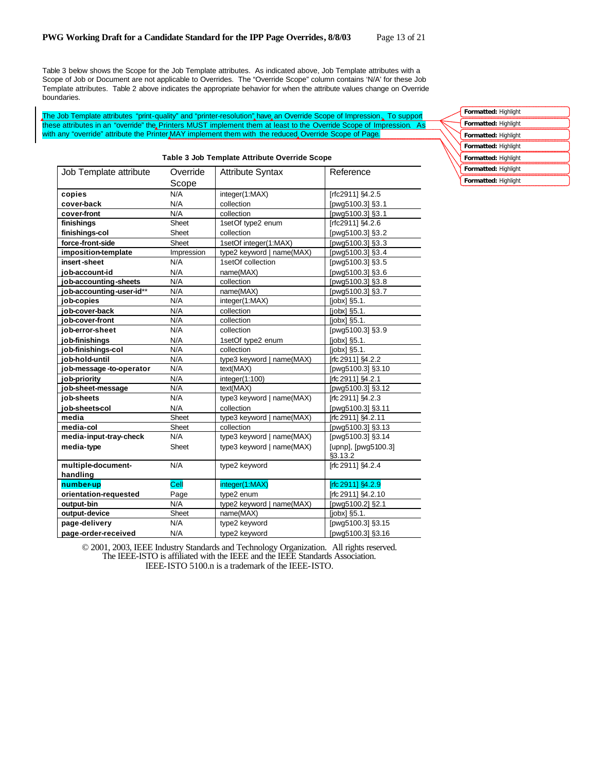Table 3 below shows the Scope for the Job Template attributes. As indicated above, Job Template attributes with a Scope of Job or Document are not applicable to Overrides. The "Override Scope" column contains 'N/A' for these Job Template attributes. Table 2 above indicates the appropriate behavior for when the attribute values change on Override boundaries.

The Job Template attributes "print-quality" and "printer-resolution" have an Override Scope of Impression. To support these attributes in an "override" the Printers MUST implement them at least to the Override Scope of Impression. As with any "override" attribute the Printer MAY implement them with the reduced Override Scope of Page.

| rapie o oob Template Attribute Override ocope |            |                           |                                |
|-----------------------------------------------|------------|---------------------------|--------------------------------|
| Job Template attribute                        | Override   | <b>Attribute Syntax</b>   | Reference                      |
|                                               | Scope      |                           |                                |
| copies                                        | N/A        | integer(1:MAX)            | [rfc2911] §4.2.5               |
| cover-back                                    | N/A        | collection                | [pwg5100.3] §3.1               |
| cover-front                                   | N/A        | collection                | [pwg5100.3] §3.1               |
| finishings                                    | Sheet      | 1set Of type2 enum        | [rfc2911] §4.2.6               |
| finishings-col                                | Sheet      | collection                | [pwg5100.3] §3.2               |
| force-front-side                              | Sheet      | 1setOf integer(1:MAX)     | [pwg5100.3] §3.3               |
| imposition-template                           | Impression | type2 keyword   name(MAX) | [pwg5100.3] §3.4               |
| insert-sheet                                  | N/A        | 1setOf collection         | [pwg5100.3] §3.5               |
| iob-account-id                                | N/A        | name(MAX)                 | [pwg5100.3] §3.6               |
| job-accounting-sheets                         | N/A        | collection                | [pwg5100.3] §3.8               |
| job-accounting-user-id**                      | N/A        | name(MAX)                 | [pwg5100.3] §3.7               |
| job-copies                                    | N/A        | integer(1:MAX)            | [jobx] §5.1.                   |
| iob-cover-back                                | N/A        | collection                | [jobx] §5.1.                   |
| iob-cover-front                               | N/A        | collection                | [jobx] §5.1.                   |
| iob-error-sheet                               | N/A        | collection                | [pwg5100.3] §3.9               |
| job-finishings                                | N/A        | 1setOf type2 enum         | [jobx] §5.1.                   |
| job-finishings-col                            | N/A        | collection                | $[jobx]$ §5.1.                 |
| job-hold-until                                | N/A        | type3 keyword   name(MAX) | [rfc 2911] §4.2.2              |
| job-message-to-operator                       | N/A        | text(MAX)                 | [pwg5100.3] §3.10              |
| job-priority                                  | N/A        | integer(1:100)            | [rfc 2911] §4.2.1              |
| job-sheet-message                             | N/A        | text(MAX)                 | [pwg5100.3] §3.12              |
| job-sheets                                    | N/A        | type3 keyword   name(MAX) | [rfc 2911] §4.2.3              |
| iob-sheetscol                                 | N/A        | collection                | [pwg5100.3] §3.11              |
| media                                         | Sheet      | type3 keyword   name(MAX) | [rfc 2911] §4.2.11             |
| media-col                                     | Sheet      | collection                | [pwg5100.3] §3.13              |
| media-input-tray-check                        | N/A        | type3 keyword   name(MAX) | [pwg5100.3] §3.14              |
| media-type                                    | Sheet      | type3 keyword   name(MAX) | [upnp], [pwg5100.3]<br>§3.13.2 |
| multiple-document-                            | N/A        | type2 keyword             | [rfc 2911] §4.2.4              |
| handling                                      |            |                           |                                |
| number-up                                     | Cell       | integer(1:MAX)            | [rfc 2911] $$4.2.9$            |
| orientation-requested                         | Page       | type2 enum                | [rfc 2911] §4.2.10             |
| output-bin                                    | N/A        | type2 keyword   name(MAX) | [pwg5100.2] §2.1               |
| output-device                                 | Sheet      | name(MAX)                 | $[jobx]$ §5.1.                 |
| page-delivery                                 | N/A        | type2 keyword             | [pwg5100.3] §3.15              |
| page-order-received                           | N/A        | tvpe2 kevword             | [pwg5100.3] §3.16              |

#### **Table 3 Job Template Attribute Override Scope**

**Formatted:** Highlight **Formatted:** Highlight **Formatted:** Highlight **Formatted:** Highlight **Formatted:** Highlight **Formatted:** Highlight **Formatted:** Highlight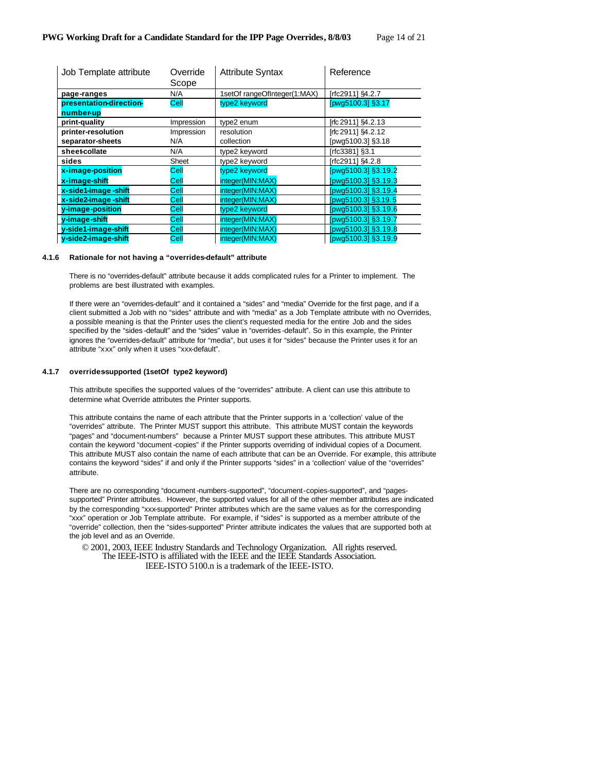| Job Template attribute  | Override<br>Scope | <b>Attribute Syntax</b>      | Reference           |
|-------------------------|-------------------|------------------------------|---------------------|
| page-ranges             | N/A               | 1setOf rangeOfInteger(1:MAX) | [rfc2911] §4.2.7    |
| presentation-direction- | Cell              | type2 keyword                | [pwg5100.3] §3.17   |
| number-up               |                   |                              |                     |
| print-quality           | Impression        | type2 enum                   | [rfc 2911] \$4.2.13 |
| printer-resolution      | Impression        | resolution                   | [rfc 2911] \$4.2.12 |
| separator-sheets        | N/A               | collection                   | [pwg5100.3] §3.18   |
| sheet-collate           | N/A               | type2 keyword                | [rfc3381] §3.1      |
| sides                   | Sheet             | type2 keyword                | [rfc2911] §4.2.8    |
| x-image-position        | Cell              | type2 keyword                | [pwg5100.3] §3.19.2 |
| x-image-shift           | Cell              | integer(MIN:MAX)             | [pwg5100.3] §3.19.3 |
| x-side1-image-shift     | Cell              | integer(MIN:MAX)             | [pwg5100.3] §3.19.4 |
| x-side2-image-shift     | Cell              | integer(MIN:MAX)             | [pwg5100.3] §3.19.5 |
| y-image-position        | Cell              | type2 keyword                | [pwg5100.3] §3.19.6 |
| v-image-shift           | Cell              | integer(MIN:MAX)             | [pwg5100.3] §3.19.7 |
| y-side1-image-shift     | Cell              | integer(MIN:MAX)             | pwg5100.3] §3.19.8  |
| y-side2-image-shift     | Cell              | integer(MIN:MAX)             | [pwg5100.3] §3.19.9 |

#### **4.1.6 Rationale for not having a "overrides-default" attribute**

There is no "overrides-default" attribute because it adds complicated rules for a Printer to implement. The problems are best illustrated with examples.

If there were an "overrides-default" and it contained a "sides" and "media" Override for the first page, and if a client submitted a Job with no "sides" attribute and with "media" as a Job Template attribute with no Overrides, a possible meaning is that the Printer uses the client's requested media for the entire Job and the sides specified by the "sides -default" and the "sides" value in "overrides -default". So in this example, the Printer ignores the "overrides-default" attribute for "media", but uses it for "sides" because the Printer uses it for an attribute "xxx" only when it uses "xxx-default".

### **4.1.7 overrides-supported (1setOf type2 keyword)**

This attribute specifies the supported values of the "overrides" attribute. A client can use this attribute to determine what Override attributes the Printer supports.

This attribute contains the name of each attribute that the Printer supports in a 'collection' value of the "overrides" attribute. The Printer MUST support this attribute. This attribute MUST contain the keywords "pages" and "document-numbers" because a Printer MUST support these attributes. This attribute MUST contain the keyword "document -copies" if the Printer supports overriding of individual copies of a Document. This attribute MUST also contain the name of each attribute that can be an Override. For example, this attribute contains the keyword "sides" if and only if the Printer supports "sides" in a 'collection' value of the "overrides" attribute.

There are no corresponding "document -numbers-supported", "document-copies-supported", and "pagessupported" Printer attributes. However, the supported values for all of the other member attributes are indicated by the corresponding "xxx-supported" Printer attributes which are the same values as for the corresponding "xxx" operation or Job Template attribute. For example, if "sides" is supported as a member attribute of the "override" collection, then the "sides-supported" Printer attribute indicates the values that are supported both at the job level and as an Override.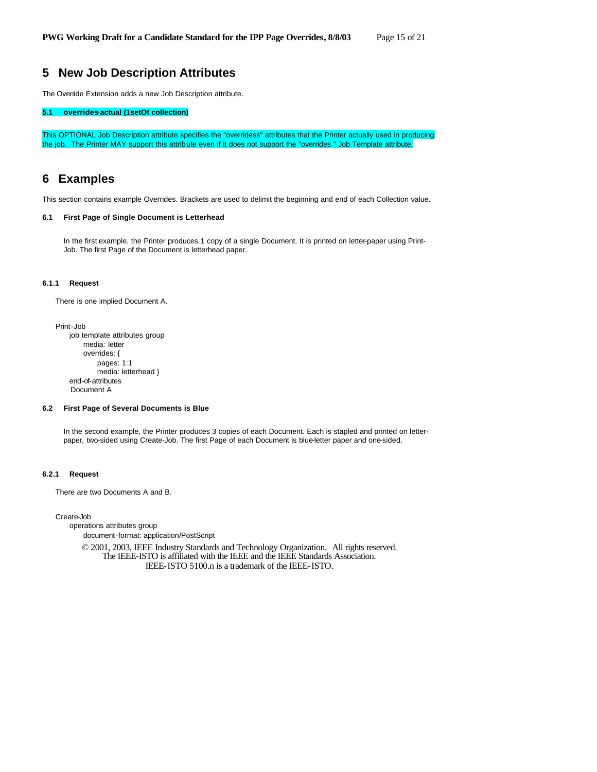# **5 New Job Description Attributes**

The Override Extension adds a new Job Description attribute.

# **5.1 overrides-actual (1setOf collection)**

This OPTIONAL Job Description attribute specifies the "overridess" attributes that the Printer actually used in producing the job. The Printer MAY support this attribute even if it does not support the "overrides " Job Template attribute.

# **6 Examples**

This section contains example Overrides. Brackets are used to delimit the beginning and end of each Collection value.

#### **6.1 First Page of Single Document is Letterhead**

In the first example, the Printer produces 1 copy of a single Document. It is printed on letter-paper using Print-Job. The first Page of the Document is letterhead paper.

### **6.1.1 Request**

There is one implied Document A.

Print-Job

job template attributes group media: letter overrides: { pages: 1:1 media: letterhead } end-of-attributes Document A

#### **6.2 First Page of Several Documents is Blue**

In the second example, the Printer produces 3 copies of each Document. Each is stapled and printed on letterpaper, two-sided using Create-Job. The first Page of each Document is blue-letter paper and one-sided.

### **6.2.1 Request**

There are two Documents A and B.

Create-Job

operations attributes group document-format: application/PostScript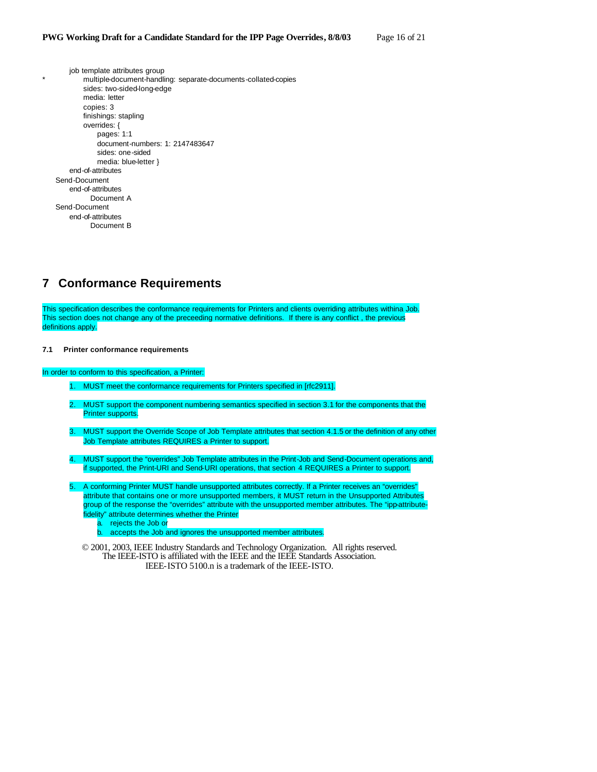job template attributes group multiple-document-handling: separate-documents-collated-copies sides: two-sided-long-edge media: letter copies: 3 finishings: stapling overrides: { pages: 1:1 document-numbers: 1: 2147483647 sides: one-sided media: blue-letter } end-of-attributes Send-Document end-of-attributes Document A Send-Document end-of-attributes Document B

# **7 Conformance Requirements**

This specification describes the conformance requirements for Printers and clients overriding attributes withina Job. This section does not change any of the preceeding normative definitions. If there is any conflict , the previous definitions apply.

#### **7.1 Printer conformance requirements**

In order to conform to this specification, a Printer:

- 1. MUST meet the conformance requirements for Printers specified in [rfc2911].
- 2. MUST support the component numbering semantics specified in section 3.1 for the components that the Printer supports.
- 3. MUST support the Override Scope of Job Template attributes that section 4.1.5 or the definition of any other Job Template attributes REQUIRES a Printer to support.
- 4. MUST support the "overrides" Job Template attributes in the Print-Job and Send-Document operations and, if supported, the Print-URI and Send-URI operations, that section 4 REQUIRES a Printer to support.
- 5. A conforming Printer MUST handle unsupported attributes correctly. If a Printer receives an "overrides" attribute that contains one or more unsupported members, it MUST return in the Unsupported Attributes group of the response the "overrides" attribute with the unsupported member attributes. The "ipp-attributefidelity" attribute determines whether the Printer
	- a. rejects the Job or
	- b. accepts the Job and ignores the unsupported member attributes.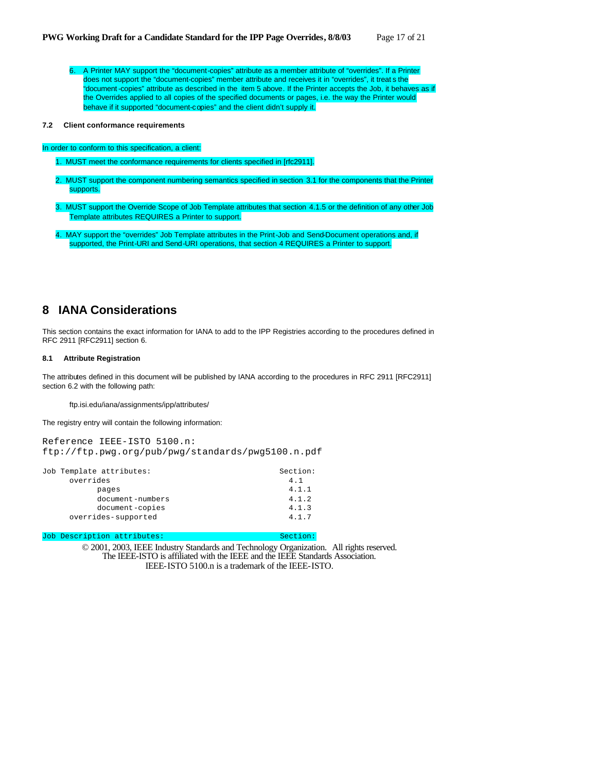6. A Printer MAY support the "document-copies" attribute as a member attribute of "overrides". If a Printer does not support the "document-copies" member attribute and receives it in "overrides", it treat s the "document -copies" attribute as described in the item 5 above. If the Printer accepts the Job, it behaves as if the Overrides applied to all copies of the specified documents or pages, i.e. the way the Printer would behave if it supported "document-copies" and the client didn't supply it.

#### **7.2 Client conformance requirements**

#### In order to conform to this specification, a client:

1. MUST meet the conformance requirements for clients specified in [rfc2911].

- 2. MUST support the component numbering semantics specified in section 3.1 for the components that the Printer supports.
- 3. MUST support the Override Scope of Job Template attributes that section 4.1.5 or the definition of any other Job Template attributes REQUIRES a Printer to support.
- 4. MAY support the "overrides" Job Template attributes in the Print-Job and Send-Document operations and, if supported, the Print-URI and Send-URI operations, that section 4 REQUIRES a Printer to support.

# **8 IANA Considerations**

This section contains the exact information for IANA to add to the IPP Registries according to the procedures defined in RFC 2911 [RFC2911] section 6.

# **8.1 Attribute Registration**

The attributes defined in this document will be published by IANA according to the procedures in RFC 2911 [RFC2911] section 6.2 with the following path:

ftp.isi.edu/iana/assignments/ipp/attributes/

The registry entry will contain the following information:

Reference IEEE-ISTO 5100.n: ftp://ftp.pwg.org/pub/pwg/standards/pwg5100.n.pdf

| Job Template attributes: | Section: |
|--------------------------|----------|
| overrides                | 4.1      |
| pages                    | 4.1.1    |
| document-numbers         | 4.1.2    |
| document-copies          | 4.1.3    |
| overrides-supported      | 4.1.7    |

Job Description attributes: Section: Section: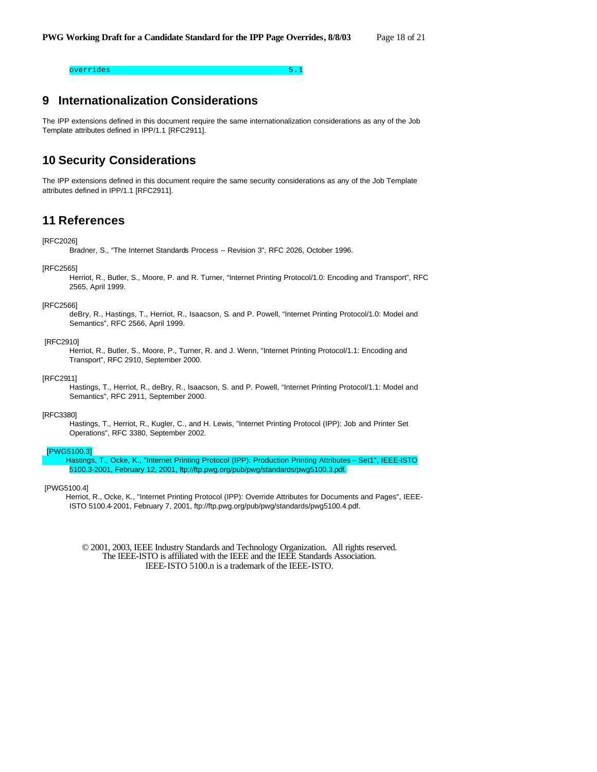### overrides 5.1 and 2014 and 2014 and 2014 and 2014 and 2014 and 2014 and 2014 and 2014 and 2014 and 2014 and 20

# **9 Internationalization Considerations**

The IPP extensions defined in this document require the same internationalization considerations as any of the Job Template attributes defined in IPP/1.1 [RFC2911].

# **10 Security Considerations**

The IPP extensions defined in this document require the same security considerations as any of the Job Template attributes defined in IPP/1.1 [RFC2911].

# **11 References**

#### [RFC2026]

Bradner, S., "The Internet Standards Process -- Revision 3", RFC 2026, October 1996.

#### [RFC2565]

Herriot, R., Butler, S., Moore, P. and R. Turner, "Internet Printing Protocol/1.0: Encoding and Transport", RFC 2565, April 1999.

#### [RFC2566]

deBry, R., Hastings, T., Herriot, R., Isaacson, S. and P. Powell, "Internet Printing Protocol/1.0: Model and Semantics", RFC 2566, April 1999.

#### [RFC2910]

Herriot, R., Butler, S., Moore, P., Turner, R. and J. Wenn, "Internet Printing Protocol/1.1: Encoding and Transport", RFC 2910, September 2000.

#### [RFC2911]

Hastings, T., Herriot, R., deBry, R., Isaacson, S. and P. Powell, "Internet Printing Protocol/1.1: Model and Semantics", RFC 2911, September 2000.

#### [RFC3380]

Hastings, T., Herriot, R., Kugler, C., and H. Lewis, "Internet Printing Protocol (IPP): Job and Printer Set Operations", RFC 3380, September 2002.

#### [PWG5100.3]

Hastings, T., Ocke, K., "Internet Printing Protocol (IPP): Production Printing Attributes – Set1", IEEE-ISTO 5100.3-2001, February 12, 2001, ftp://ftp.pwg.org/pub/pwg/standards/pwg5100.3.pdf.

#### [PWG5100.4]

Herriot, R., Ocke, K., "Internet Printing Protocol (IPP): Override Attributes for Documents and Pages", IEEE-ISTO 5100.4-2001, February 7, 2001, ftp://ftp.pwg.org/pub/pwg/standards/pwg5100.4.pdf.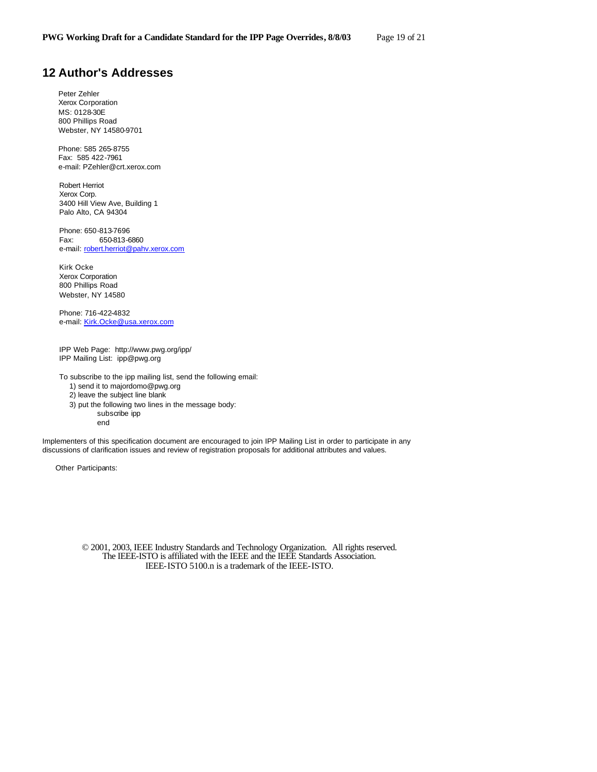# **12 Author's Addresses**

Peter Zehler Xerox Corporation MS: 0128-30E 800 Phillips Road Webster, NY 14580-9701

Phone: 585 265-8755 Fax: 585 422-7961 e-mail: PZehler@crt.xerox.com

Robert Herriot Xerox Corp. 3400 Hill View Ave, Building 1 Palo Alto, CA 94304

Phone: 650-813-7696 Fax: 650-813-6860 e-mail: robert.herriot@pahv.xerox.com

Kirk Ocke Xerox Corporation 800 Phillips Road Webster, NY 14580

Phone: 716-422-4832 e-mail: Kirk.Ocke@usa.xerox.com

IPP Web Page: http://www.pwg.org/ipp/ IPP Mailing List: ipp@pwg.org

To subscribe to the ipp mailing list, send the following email:

1) send it to majordomo@pwg.org

2) leave the subject line blank

3) put the following two lines in the message body:

subscribe ipp

end

Implementers of this specification document are encouraged to join IPP Mailing List in order to participate in any discussions of clarification issues and review of registration proposals for additional attributes and values.

Other Participants: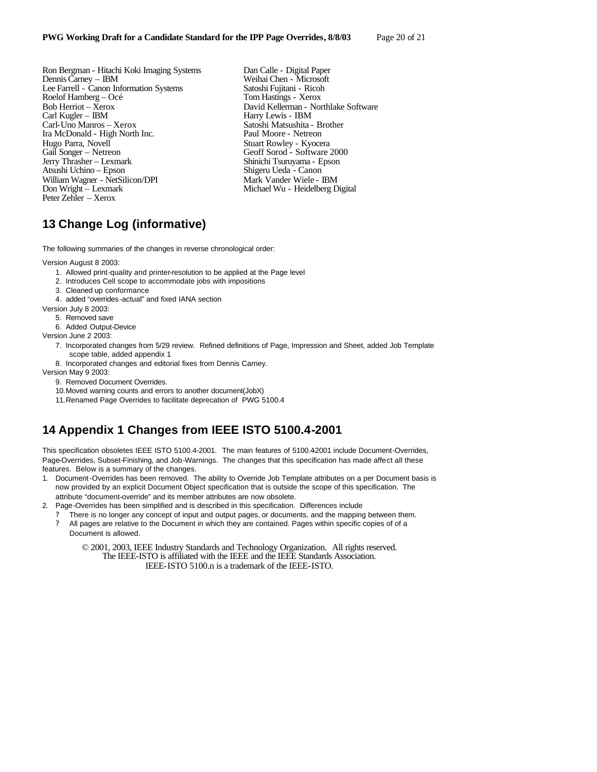Ron Bergman - Hitachi Koki Imaging Systems Dan Calle - Digital Paper Dennis Carney - IBM Weihai Chen - Microsoft Lee Farrell - Canon Information Systems Satoshi Fujitani - Ricoh Roelof Hamberg – Océ<br>Bob Herriot – Xerox Bob Herriot – Xerox David Kellerman - Northlake Software<br>Carl Kugler – IBM Harry Lewis - IBM Carl-Uno Manros – Xerox Satoshi Matsushita - Brother Ira McDonald - High North Inc.<br>Hugo Parra, Novell Hugo Parra, Novell Stuart Rowley - Kyocera<br>
Gail Songer – Netreon Geoff Sorod - Software Gail Songer – Netreon Geoff Sorod - Software 2000 Atsushi Uchino – Epson William Wagner - NetSilicon/DPI Mark Vander Wiele - IBM<br>
Don Wright – Lexmark Michael Wu - Heidelberg D Peter Zehler – Xerox

Weihai Chen - Microsoft<br>Satoshi Fujitani - Ricoh Harry Lewis - IBM Shinichi Tsuruyama - Epson<br>Shigeru Ueda - Canon Michael Wu - Heidelberg Digital

# **13 Change Log (informative)**

The following summaries of the changes in reverse chronological order:

Version August 8 2003:

- 1. Allowed print-quality and printer-resolution to be applied at the Page level
- 2. Introduces Cell scope to accommodate jobs with impositions
- 3. Cleaned up conformance
- 4. added "overrides -actual" and fixed IANA section
- Version July 8 2003:
- 5. Removed save
- 6. Added Output-Device

Version June 2 2003:

- 7. Incorporated changes from 5/29 review. Refined definitions of Page, Impression and Sheet, added Job Template scope table, added appendix 1
- 8. Incorporated changes and editorial fixes from Dennis Carney.

Version May 9 2003:

- 9. Removed Document Overrides.
- 10.Moved warning counts and errors to another document(JobX)
- 11.Renamed Page Overrides to facilitate deprecation of PWG 5100.4

# **14 Appendix 1 Changes from IEEE ISTO 5100.4-2001**

This specification obsoletes IEEE ISTO 5100.4-2001. The main features of 5100.4-2001 include Document-Overrides, Page-Overrides, Subset-Finishing, and Job-Warnings. The changes that this specification has made affect all these features. Below is a summary of the changes.

- 1. Document-Overrides has been removed. The ability to Override Job Template attributes on a per Document basis is now provided by an explicit Document Object specification that is outside the scope of this specification. The attribute "document-override" and its member attributes are now obsolete.
- 2. Page-Overrides has been simplified and is described in this specification. Differences include
	- There is no longer any concept of input and output pages, or documents, and the mapping between them. ? All pages are relative to the Document in which they are contained. Pages within specific copies of of a
		- Document is allowed.